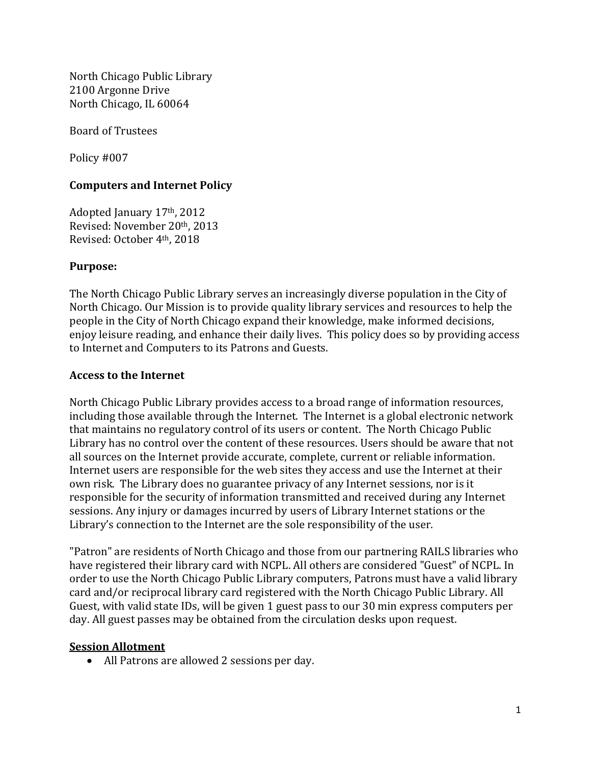North Chicago Public Library 2100 Argonne Drive North Chicago, IL 60064

Board of Trustees

Policy #007

## **Computers and Internet Policy**

Adopted January 17th, 2012 Revised: November 20th, 2013 Revised: October 4th, 2018

#### **Purpose:**

The North Chicago Public Library serves an increasingly diverse population in the City of North Chicago. Our Mission is to provide quality library services and resources to help the people in the City of North Chicago expand their knowledge, make informed decisions, enjoy leisure reading, and enhance their daily lives. This policy does so by providing access to Internet and Computers to its Patrons and Guests.

#### **Access to the Internet**

North Chicago Public Library provides access to a broad range of information resources, including those available through the Internet. The Internet is a global electronic network that maintains no regulatory control of its users or content. The North Chicago Public Library has no control over the content of these resources. Users should be aware that not all sources on the Internet provide accurate, complete, current or reliable information. Internet users are responsible for the web sites they access and use the Internet at their own risk. The Library does no guarantee privacy of any Internet sessions, nor is it responsible for the security of information transmitted and received during any Internet sessions. Any injury or damages incurred by users of Library Internet stations or the Library's connection to the Internet are the sole responsibility of the user.

"Patron" are residents of North Chicago and those from our partnering RAILS libraries who have registered their library card with NCPL. All others are considered "Guest" of NCPL. In order to use the North Chicago Public Library computers, Patrons must have a valid library card and/or reciprocal library card registered with the North Chicago Public Library. All Guest, with valid state IDs, will be given 1 guest pass to our 30 min express computers per day. All guest passes may be obtained from the circulation desks upon request.

## **Session Allotment**

• All Patrons are allowed 2 sessions per day.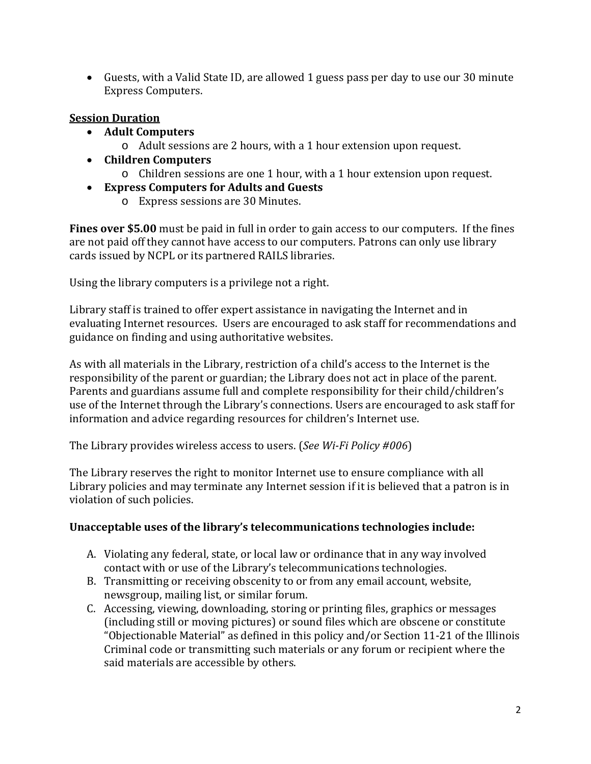• Guests, with a Valid State ID, are allowed 1 guess pass per day to use our 30 minute Express Computers.

# **Session Duration**

- **Adult Computers**
	- o Adult sessions are 2 hours, with a 1 hour extension upon request.
- **Children Computers**
	- o Children sessions are one 1 hour, with a 1 hour extension upon request.
- **Express Computers for Adults and Guests**
	- o Express sessions are 30 Minutes.

**Fines over \$5.00** must be paid in full in order to gain access to our computers. If the fines are not paid off they cannot have access to our computers. Patrons can only use library cards issued by NCPL or its partnered RAILS libraries.

Using the library computers is a privilege not a right.

Library staff is trained to offer expert assistance in navigating the Internet and in evaluating Internet resources. Users are encouraged to ask staff for recommendations and guidance on finding and using authoritative websites.

As with all materials in the Library, restriction of a child's access to the Internet is the responsibility of the parent or guardian; the Library does not act in place of the parent. Parents and guardians assume full and complete responsibility for their child/children's use of the Internet through the Library's connections. Users are encouraged to ask staff for information and advice regarding resources for children's Internet use.

The Library provides wireless access to users. (*See Wi-Fi Policy #006*)

The Library reserves the right to monitor Internet use to ensure compliance with all Library policies and may terminate any Internet session if it is believed that a patron is in violation of such policies.

## **Unacceptable uses of the library's telecommunications technologies include:**

- A. Violating any federal, state, or local law or ordinance that in any way involved contact with or use of the Library's telecommunications technologies.
- B. Transmitting or receiving obscenity to or from any email account, website, newsgroup, mailing list, or similar forum.
- C. Accessing, viewing, downloading, storing or printing files, graphics or messages (including still or moving pictures) or sound files which are obscene or constitute "Objectionable Material" as defined in this policy and/or Section 11-21 of the Illinois Criminal code or transmitting such materials or any forum or recipient where the said materials are accessible by others.